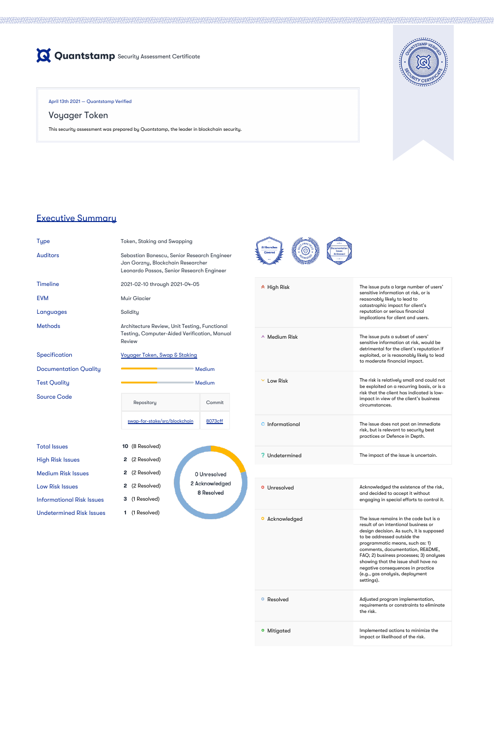

April 13th 2021 — Quantstamp Verified

# Voyager Token

This security assessment was prepared by Quantstamp, the leader in blockchain security.



# Executive Summary

Type Token, Staking and Swapping

Methods **Architecture Review, Unit Testing, Functional** Testing, Computer-Aided Verification, Manual Review

Specification [Voyager Token, Swap & Staking](https://github.com/CoMakery/swap-for-stake/blob/f80d689b16fa3db7d28cbb891d7af8c113eec779/SPEC.md)

Documentation Quality **Medium** Medium

Auditors Sebastian Banescu, Senior Research Engineer Jan Gorzny, Blockchain Researcher Leonardo Passos, Senior Research Engineer

Test Quality and the Community Medium



Sou

|  | <b>Timeline</b> |  |
|--|-----------------|--|
|  |                 |  |
|  |                 |  |

### 2021-02-10 through 2021-04-05

EVM Muir Glacier

Languages Solidity

| <b>Source Code</b>               |  | Repository                    | Commit  |                              |
|----------------------------------|--|-------------------------------|---------|------------------------------|
|                                  |  | swap-for-stake/src/blockchain | 8073cff |                              |
| <b>Total Issues</b>              |  | <b>10</b> (8 Resolved)        |         |                              |
| <b>High Risk Issues</b>          |  | 2 (2 Resolved)                |         |                              |
| <b>Medium Risk Issues</b>        |  | 2 (2 Resolved)                |         | 0 Unresolved                 |
| <b>Low Risk Issues</b>           |  | 2 (2 Resolved)                |         | 2 Acknowledged<br>8 Resolved |
| <b>Informational Risk Issues</b> |  | <b>3</b> (1 Resolved)         |         |                              |
| <b>Undetermined Risk Issues</b>  |  | (1 Resolved)                  |         |                              |
|                                  |  |                               |         |                              |

|  | $\hat{P}$ High Risk | The issue puts a large number of users'<br>sensitive information at risk, or is<br>reasonably likely to lead to<br>catastrophic impact for client's<br>reputation or serious financial<br>implications for client and users. |  |  |  |
|--|---------------------|------------------------------------------------------------------------------------------------------------------------------------------------------------------------------------------------------------------------------|--|--|--|
|  | $\land$ Medium Risk | The issue puts a subset of users'<br>sensitive information at risk, would be<br>detrimental for the client's reputation if<br>exploited, or is reasonably likely to lead<br>to moderate financial impact.                    |  |  |  |
|  | Low Risk            | The risk is relatively small and could not<br>be exploited on a recurring basis, or is a<br>risk that the client has indicated is low-<br>impact in view of the client's business<br>circumstances.                          |  |  |  |
|  | Informational       | The issue does not post an immediate<br>risk, but is relevant to security best<br>practices or Defence in Depth.                                                                                                             |  |  |  |
|  | Undetermined        | The impact of the issue is uncertain.                                                                                                                                                                                        |  |  |  |
|  |                     |                                                                                                                                                                                                                              |  |  |  |
|  | Unresolved<br>o     | Acknowledged the existence of the risk,<br>and decided to accept it without<br>engaging in special efforts to control it.                                                                                                    |  |  |  |
|  | Acknowledged        | The issue remains in the code but is a<br>result of an intentional business or<br>design decision. As such, it is supposed<br>to be addressed outside the                                                                    |  |  |  |

programmatic means, such as: 1)

|            | comments, documentation, README,<br>FAQ; 2) business processes; 3) analyses<br>showing that the issue shall have no<br>negative consequences in practice<br>(e.g., gas analysis, deployment<br>settings). |
|------------|-----------------------------------------------------------------------------------------------------------------------------------------------------------------------------------------------------------|
| • Resolved | Adjusted program implementation,<br>requirements or constraints to eliminate<br>the risk.                                                                                                                 |
| Mitigated  | Implemented actions to minimize the<br>impact or likelihood of the risk.                                                                                                                                  |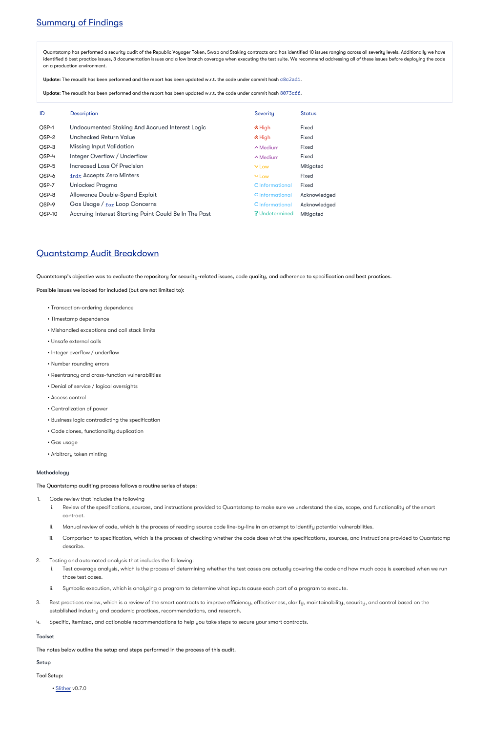# Summary of Findings

Quantstamp has performed a security audit of the Republic Voyager Token, Swap and Staking contracts and has identified 10 issues ranging across all severity levels. Additionally we have identified 6 best practice issues, 3 documentation issues and a low branch coverage when executing the test suite. We recommend addressing all of these issues before deploying the code on a production environment.

 $\bm{\mathsf{Update}}$ : The reaudit has been performed and the report has been updated w.r.t. the code under commit hash <code>c8c2ad1</code>.

**Update:** The reaudit has been performed and the report has been updated w.r.t. the code under commit hash  $8073\text{cff}.$ 

| ID     | <b>Description</b>                                           | Severity              | <b>Status</b>    |
|--------|--------------------------------------------------------------|-----------------------|------------------|
| QSP-1  | <b>Undocumented Staking And Accrued Interest Logic</b>       | $\triangle$ High      | <b>Fixed</b>     |
| QSP-2  | Unchecked Return Value                                       | $\triangle$ High      | <b>Fixed</b>     |
| QSP-3  | <b>Missing Input Validation</b>                              | $\wedge$ Medium       | <b>Fixed</b>     |
| OSP-4  | Integer Overflow / Underflow                                 | $\wedge$ Medium       | <b>Fixed</b>     |
| QSP-5  | Increased Loss Of Precision                                  | $\vee$ Low            | <b>Mitigated</b> |
| QSP-6  | init Accepts Zero Minters                                    | $\vee$ Low            | <b>Fixed</b>     |
| QSP-7  | <b>Unlocked Pragma</b>                                       | O Informational       | <b>Fixed</b>     |
| QSP-8  | <b>Allowance Double-Spend Exploit</b>                        | O Informational       | Acknowledged     |
| OSP-9  | Gas Usage / for Loop Concerns                                | O Informational       | Acknowledged     |
| QSP-10 | <b>Accruing Interest Starting Point Could Be In The Past</b> | <b>? Undetermined</b> | <b>Mitigated</b> |

# Quantstamp Audit Breakdown

Quantstamp's objective was to evaluate the repository for security-related issues, code quality, and adherence to specification and best practices.

Possible issues we looked for included (but are not limited to):

- Transaction-ordering dependence
- Timestamp dependence
- Mishandled exceptions and call stack limits
- Unsafe external calls
- Integer overflow / underflow
- Number rounding errors
- Reentrancy and cross-function vulnerabilities
- Denial of service / logical oversights
- Access control
- Centralization of power
- Business logic contradicting the specification
- Code clones, functionality duplication
- Gas usage
- Arbitrary token minting

### Methodology

The Quantstamp auditing process follows a routine series of steps:

- 1. Code review that includes the following
	- i. Review of the specifications, sources, and instructions provided to Quantstamp to make sure we understand the size, scope, and functionality of the smart contract.
	- ii. Manual review of code, which is the process of reading source code line-by-line in an attempt to identify potential vulnerabilities.
	- iii. Comparison to specification, which is the process of checking whether the code does what the specifications, sources, and instructions provided to Quantstamp describe.

- 2. Testing and automated analysis that includes the following:
	- i. Test coverage analysis, which is the process of determining whether the test cases are actually covering the code and how much code is exercised when we run those test cases.
	- ii. Symbolic execution, which is analyzing a program to determine what inputs cause each part of a program to execute.
- 3. Best practices review, which is a review of the smart contracts to improve efficiency, effectiveness, clarify, maintainability, security, and control based on the established industry and academic practices, recommendations, and research.
- 4. Specific, itemized, and actionable recommendations to help you take steps to secure your smart contracts.

### Toolset

The notes below outline the setup and steps performed in the process of this audit.

### Setup

Tool Setup:

• [Slither](https://github.com/crytic/slither) v0.7.0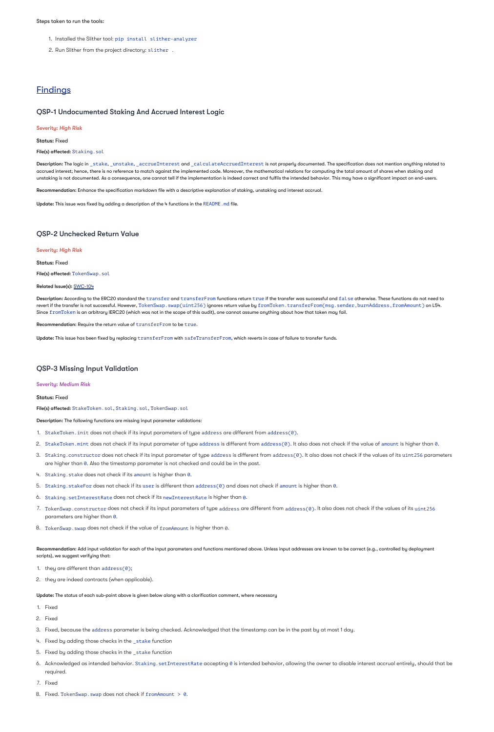### Steps taken to run the tools:

- 1. Installed the Slither tool: pip install slither-analyzer
- 2. Run Slither from the project directory: slither .

# **Findings**

### QSP-1 Undocumented Staking And Accrued Interest Logic

### Severity: *High Risk*

Status: Fixed

File(s) affected: Staking.sol

Description: The logic in \_stake, \_unstake, \_accrueInterest and \_calculateAccruedInterest is not properly documented. The specification does not mention anything related to accrued interest; hence, there is no reference to match against the implemented code. Moreover, the mathematical relations for computing the total amount of shares when staking and unstaking is not documented. As a consequence, one cannot tell if the implementation is indeed correct and fulfils the intended behavior. This may have a significant impact on end-users.

**Recommendation:** Enhance the specification markdown file with a descriptive explanation of staking, unstaking and interest accrual.

**Update:** This issue was fixed by adding a description of the 4 functions in the <code>README</code> .  $\mathsf{md}$  file.

- 1. StakeToken.init does not check if its input parameters of type address are different from address(0).
- 2. StakeToken.mint does not check if its input parameter of type address is different from address(0). It also does not check if the value of amount is higher than 0.
- 3. Staking.constructor does not check if its input parameter of type address is different from address(0). It also does not check if the values of its uint256 parameters are higher than 0. Also the timestamp parameter is not checked and could be in the past.
- 4. Staking.stake does not check if its amount is higher than 0.
- 5. Staking.stakeFor does not check if its user is different than address(0) and does not check if amount is higher than 0.
- 6. Staking. setInterestRate does not check if its newInterestRate is higher than 0.
- 7. TokenSwap.constructor does not check if its input parameters of type address are different from address(0). It also does not check if the values of its uint256 parameters are higher than  $0.$
- 8. TokenSwap.swap does not check if the value of fromAmount is higher than 0.

# QSP-2 Unchecked Return Value

### Severity: *High Risk*

Status: Fixed

File(s) affected: TokenSwap.sol

### Related Issue(s): [SWC-104](https://smartcontractsecurity.github.io/SWC-registry/docs/SWC-104)

 $\sf Description:$  According to the ERC20 standard the  $\tt transfer$  and  $\tt transfer$  and  $\tt transfer$  functions return  $\tt true$  if the transfer was successful and  $\tt{false}$  otherwise. These functions do not need to revert if the transfer is not successful. However, TokenSwap.swap(uint256) ignores return value by fromToken.transferFrom(msg.sender,burnAddress,fromAmount) on L54. Since <code>fromToken</code> is an arbitrary IERC20 (which was not in the scope of this audit), one cannot assume anything about how that token may fail.

Recommendation: Require the return value of transferFrom to be true.

 $\sf Update:$  This issue has been fixed by replacing  ${\tt transferFrom}$  with  ${\tt safeTransformerFrom}$  which reverts in case of failure to transfer funds.

**Recommendation:** Add input validation for each of the input parameters and functions mentioned above. Unless input addresses are known to be correct (e.g., controlled by deployment scripts), we suggest verifying that:

- 1. Fixed
- 2. Fixed
- 3. Fixed, because the address parameter is being checked. Acknowledged that the timestamp can be in the past by at most 1 day.
- 4. Fixed by adding those checks in the \_stake function
- 5. Fixed by adding those checks in the \_stake function
- 6. Acknowledged as intended behavior. Staking setInterestRate accepting 0 is intended behavior, allowing the owner to disable interest accrual entirely, should that be required.
- 7. Fixed
- 8. Fixed. TokenSwap. swap does not check if fromAmount > 0.

# QSP-3 Missing Input Validation

Severity: *Medium Risk*

Status: Fixed

File(s) affected: StakeToken.sol, Staking.sol, TokenSwap.sol

Description: The following functions are missing input parameter validations:

- 1. they are different than address(0);
- 2. they are indeed contracts (when applicable).

Update: The status of each sub-point above is given below along with a clarification comment, where necessary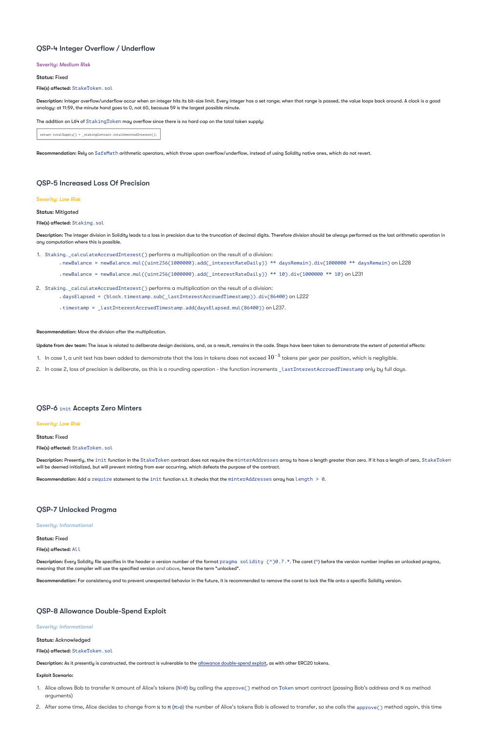# QSP-4 Integer Overflow / Underflow

### Severity: *Medium Risk*

Status: Fixed

File(s) affected: StakeToken.sol

**Description:** Integer overflow/underflow occur when an integer hits its bit-size limit. Every integer has a set range; when that range is passed, the value loops back around. A clock is a good analogy: at 11:59, the minute hand goes to 0, not 60, because 59 is the largest possible minute.

The addition on L64 of  ${\tt StakingToken}$  may overflow since there is no hard cap on the total token supply:

return totalSupply() + \_stakingContract.totalUnmintedInterest();

Recommendation: Rely on SafeMath arithmetic operators, which throw upon overflow/underflow, instead of using Solidity native ones, which do not revert.

# QSP-5 Increased Loss Of Precision

Severity: *Low Risk*

Status: Mitigated

File(s) affected: Staking.sol

- $\cdot$  newBalance = newBalance.mul((uint256(1000000).add( interestRateDaily)) \*\* 10).div(1000000 \*\* 10) on L231
- 2. Staking. calculateAccruedInterest() performs a multiplication on the result of a division:
	- daysElapsed = (block.timestamp.sub(\_lastInterestAccruedTimestamp)).div(86400) on L222
	- timestamp = \_lastInterestAccruedTimestamp.add(daysElapsed.mul(86400)) on L237.

Recommendation: Move the division after the multiplication.

**Update from dev team:** The issue is related to deliberate design decisions, and, as a result, remains in the code. Steps have been taken to demonstrate the extent of potential effects:

- 1. In case 1, a unit test has been added to demonstrate that the loss in tokens does not exceed  $10^{-5}$  tokens per year per position, which is negligible.
- 2. In case 2, loss of precision is deliberate, as this is a rounding operation the function increments \_lastInterestAccruedTimestamp only by full days.

The integer division in Solidity leads to a loss in precision due to the truncation of decimal digits. Therefore division should be always performed as the last arithmetic operation in Description: any computation where this is possible.

1. Staking.\_calculateAccruedInterest() performs a multiplication on the result of a division:

• newBalance = newBalance.mul((uint256(1000000).add(\_interestRateDaily)) \*\* daysRemain).div(1000000 \*\* daysRemain) on L228

Description: Presently, the <code>init</code> function in the StakeToken contract does not require the <code>minterAddresses</code> array to have a length greater than zero. If it has a length of zero, StakeToken will be deemed initialized, but will prevent minting from ever occurring, which defeats the purpose of the contract.

Recommendation: Add a require statement to the init function s.t. it checks that the minterAddresses array has length  $> 0$ .

# QSP-6 init Accepts Zero Minters

### Severity: *Low Risk*

### Status: Fixed

### File(s) affected: StakeToken.sol

# QSP-7 Unlocked Pragma

### Severity: *Informational*

### Status: Fixed

### File(s) affected: All

**Description:** Every Solidity file specifies in the header a version number of the format  $\text{pragma }\text{solidity }(\wedge) \theta.7.*$  The caret (^) before the version number implies an unlocked pragma, meaning that the compiler will use the specified version and above, hence the term "unlocked".

Recommendation: For consistency and to prevent unexpected behavior in the future, it is recommended to remove the caret to lock the file onto a specific Solidity version.

# QSP-8 Allowance Double-Spend Exploit

Severity: *Informational*

Status: Acknowledged

File(s) affected: StakeToken.sol

Description: As it presently is constructed, the contract is vulnerable to the [allowance double-spend exploit,](https://github.com/OpenZeppelin/openzeppelin-solidity/blob/b4f87bb8fc25fb07f73099701e39e167a3d36465/contracts/token/ERC20/ERC20.sol#L71-L78) as with other ERC20 tokens.

### Exploit Scenario:

- 1. Alice allows Bob to transfer N amount of Alice's tokens (N>0) by calling the approve( ) method on Token smart contract (passing Bob's address and N as method arguments)
- 2. After some time, Alice decides to change from N to M (M>0) the number of Alice's tokens Bob is allowed to transfer, so she calls the approve() method again, this time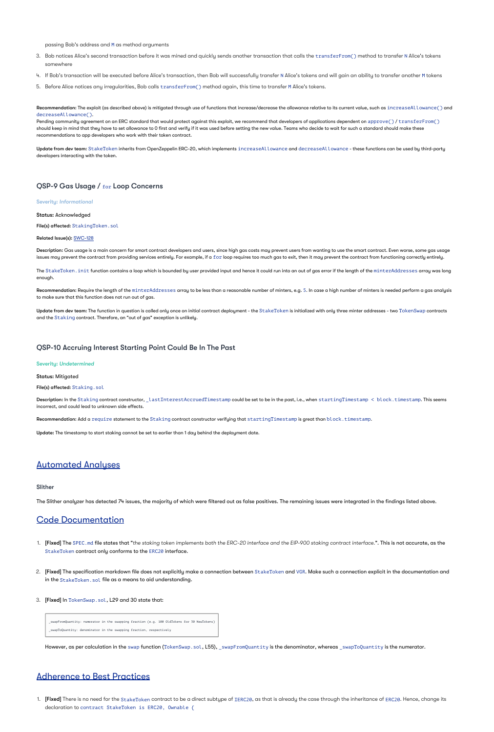passing Bob's address and M as method arguments

- 3. Bob notices Alice's second transaction before it was mined and quickly sends another transaction that calls the  $\verb|transferFrom()|$  method to transfer N Alice's tokens somewhere
- 4. If Bob's transaction will be executed before Alice's transaction, then Bob will successfully transfer N Alice's tokens and will gain an ability to transfer another M tokens
- 5. Before Alice notices any irregularities, Bob calls transferFrom() method again, this time to transfer M Alice's tokens.

 $\sf Recommendation:$  The exploit (as described above) is mitigated through use of functions that increase/decrease the allowance relative to its current value, such as <code>increaseAllowance()</code> and . decreaseAllowance()

Pending community agreement on an ERC standard that would protect against this exploit, we recommend that developers of applications dependent on app $\texttt{rove}()$  /  $\texttt{transferFrom}()$ should keep in mind that they have to set allowance to 0 first and verify if it was used before setting the new value. Teams who decide to wait for such a standard should make these recommendations to app developers who work with their token contract.

**Update from dev team:** StakeToken inherits from OpenZeppelin ERC-20, which implements <code>increaseAllowance</code> and <code>decreaseAllowance</code> - these functions can be used by third-party developers interacting with the token.

# QSP-9 Gas Usage / for Loop Concerns

**Recommendation:** Require the length of the minterAddresses array to be less than a reasonable number of minters, e.g. 5. In case a high number of minters is needed perform a gas analysis to make sure that this function does not run out of gas.

**Update from dev team:** The function in question is called only once on initial contract deployment - the  $StakeToken$  is initialized with only three minter addresses - two  $TokenSwap$  contracts and the  ${\sf Staking}$  contract. Therefore, an "out of gas" exception is unlikely.

Severity: *Informational*

 $\sf Description:$  In the <code>Staking</code> contract constructor, <code>\_lastInterestAccruedTimestamp</code> could be set to be in the past, i.e., when <code>startingTimestamp < block.timestamp. This seems</code> incorrect, and could lead to unknown side effects.

 $\sf Recommendation:$  Add a  $\verb"require statement to the Staking contract construction verifies that starting Timestamp is great than block.timestamp.$ 

**Update:** The timestamp to start staking cannot be set to earlier than 1 day behind the deployment date.

Status: Acknowledged

File(s) affected: StakingToken.sol

Related Issue(s): [SWC-128](https://smartcontractsecurity.github.io/SWC-registry/docs/SWC-128)

**Description:** Gas usage is a main concern for smart contract developers and users, since high gas costs may prevent users from wanting to use the smart contract. Even worse, some gas usage issues may prevent the contract from providing services entirely. For example, if a  $\mathtt{for}$  loop requires too much gas to exit, then it may prevent the contract from functioning correctly entirely.

The StakeToken . init function contains a loop which is bounded by user provided input and hence it could run into an out of gas error if the length of the minterAddresses array was long

- 2.  $\,$  [Fixed] The specification markdown file does not explicitly make a connection between <code>StakeToken</code> and <code>VGR.</code> Make such a connection explicit in the documentation and in the <code>StakeToken.sol</code> file as a means to aid understanding.
- 3. [Fixed] In TokenSwap.sol, L29 and 30 state that:

enough.

1. **[Fixed]** There is no need for the StakeToken contract to be a direct subtype of IERC20, as that is already the case through the inheritance of ERC20. Hence, change its declaration to contract StakeToken is ERC20, Ownable {

# QSP-10 Accruing Interest Starting Point Could Be In The Past

Severity: *Undetermined*

Status: Mitigated

File(s) affected: Staking.sol

# Automated Analyses

Slither

The Slither analyzer has detected 74 issues, the majority of which were filtered out as false positives. The remaining issues were integrated in the findings listed above.

# Code Documentation

1. **[Fixed] The** SPEC md file states that "the staking token implements both the ERC-20 interface and the EIP-900 staking contract interface.". This is not accurate, as the

StakeToken contract only conforms to the ERC20 interface.

\_swapFromQuantity: numerator in the swapping fraction (e.g. 100 OldTokens for 30 NewTokens)

\_swapToQuantity: denominator in the swapping fraction, respectively

However, as per calculation in the swap function (TokenSwap.sol, L55), swapFromQuantity is the denominator, whereas swapToQuantity is the numerator.

# Adherence to Best Practices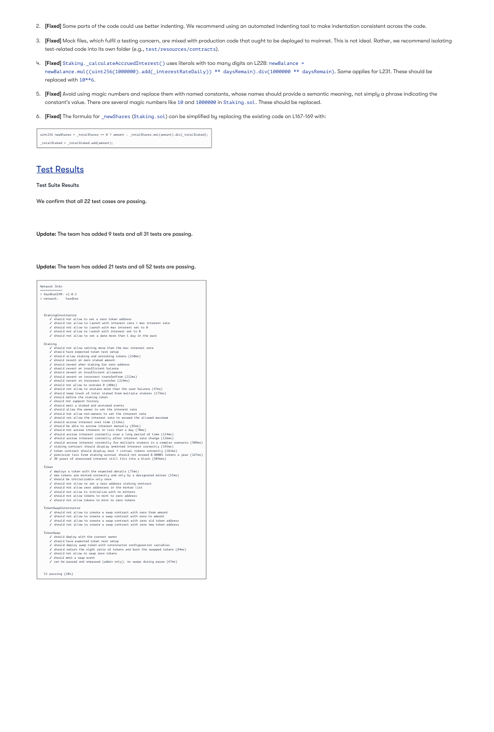- 2. [Fixed] Some parts of the code could use better indenting. We recommend using an automated indenting tool to make indentation consistent across the code.
- 3. **[Fixed]** Mock files, which fulfil a testing concern, are mixed with production code that ought to be deployed to mainnet. This is not ideal. Rather, we recommend isolating test-related code into its own folder (e.g., test/resources/contracts).
- 4. 【**Fixed**】 Staking.\_calculateAccruedInterest() uses literals with too many digits on L228: newBalance = newBalance.mul((uint256(1000000).add(\_interestRateDaily)) \*\* daysRemain).div(1000000 \*\* daysRemain).Same applies for L231.These should be replaced with  $10***$ 6.
- 5. **[Fixed]** Avoid using magic numbers and replace them with named constants, whose names should provide a semantic meaning, not simply a phrase indicating the constant's value. There are several magic numbers like 10 and 1000000 in Staking. sol. These should be replaced.
- 6. [Fixed] The formula for \_newShares (Staking.sol) can be simplified by replacing the existing code on L167-169 with:

uint256 newShares = \_totalShares == 0 ? amount : \_totalShares.mul(amount).div(\_totalStaked); \_totalStaked = \_totalStaked.add(amount);

# Test Results

Test Suite Results

We confirm that all 22 test cases are passing.

**Update:** The team has added 9 tests and all 31 tests are passing.

**Update:** The team has added 21 tests and all 52 tests are passing.

#### Network Info ============

> HardhatEVM: v2.0.5 > network: hardhat

StakingConstructor

✓ should not allow to set a zero token address ✓ should not allow to launch with interest rate > max interest rate ✓ should not allow to launch with max interest set to 0 ✓ should not allow to launch with interest set to 0 ✓ should not allow to set a date more than 1 day in the past

Staking

✓ should not allow setting more than the max interest rate

✓ should have expected token test setup

✓ should allow staking and unstaking tokens (210ms)

✓ should revert on zero staked amount

- ✓ should revert when staking for zero address
- ✓ should revert on insufficient balance

✓ should revert on insufficient allowance

✓ should revert on incorrect transferFrom (212ms)

✓ should revert on incorrect transfer (224ms)

✓ should not allow to unstake 0 (40ms)

✓ should not allow to unstake more than the user balance (47ms)

✓ should keep track of total staked from multiple stakers (173ms)

✓ should define the staking token

✓ should not support history

✓ should emit a staked and unstaked events

✓ should allow the owner to set the interest rate

✓ should not allow non-owners to set the interest rate

✓ should not allow the interest rate to exceed the allowed maximum

✓ should accrue interest over time (112ms)

✓ should be able to accrue interest manually (85ms)

✓ should not accrue interest in less than a day (70ms)

✓ should accrue interest correctly over a long period of time (124ms)

✓ should accrue interest correctly after interest rate change (126ms)

✓ should accrue interest correctly for multiple stakers in a complex scenario (309ms)

✓ staking contract should display unminted interest correctly (145ms)

✓ token contract should display real + virtual tokens correctly (181ms)

✓ precision loss from staking accrual should not exceed 0.00001 tokens a year (167ms)

✓ 30 years of unaccrued interest still fits into a block (5056ms)

#### Token

 $\checkmark$  deploys a token with the expected details (75ms)

✓ new tokens are minted correctly and only by a designated minter (55ms)

✓ should be initializable only once

✓ should not allow to set a zero address staking contract

✓ should not allow zero addresses in the minter list

✓ should not allow to initialize with no minters

✓ should not allow tokens to mint to zero address

✓ should not allow tokens to mint to zero tokens

#### TokenSwapConstructor

✓ should not allow to create a swap contract with zero from amount ✓ should not allow to create a swap contract with zero to amount ✓ should not allow to create a swap contract with zero old token address ✓ should not allow to create a swap contract with zero new token address

#### TokenSwap

✓ should deploy with the correct owner

✓ should have expected token test setup

✓ should deploy swap token with constructor configuration variables

✓ should return the right ratio of tokens and burn the swapped tokens (84ms)

✓ should not allow to swap zero tokens

✓ should emit a swap event

✓ can be paused and unpaused (admin only), no swaps during pause (47ms)

52 passing (20s)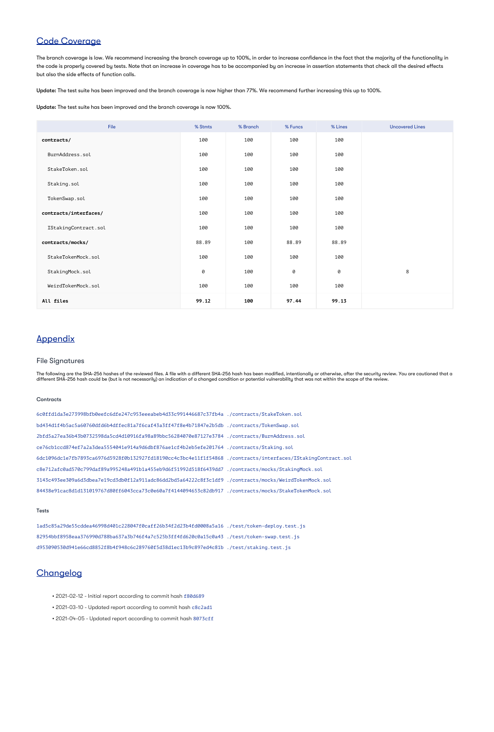# Code Coverage

The branch coverage is low. We recommend increasing the branch coverage up to 100%, in order to increase confidence in the fact that the majority of the functionality in the code is properly covered by tests. Note that an increase in coverage has to be accompanied by an increase in assertion statements that check all the desired effects but also the side effects of function calls.

**Update:** The test suite has been improved and the branch coverage is now higher than 77%. We recommend further increasing this up to 100%.

**Update:** The test suite has been improved and the branch coverage is now 100%.

| File                  | % Stmts  | % Branch | % Funcs  | % Lines  | <b>Uncovered Lines</b> |
|-----------------------|----------|----------|----------|----------|------------------------|
| contracts/            | 100      | 100      | 100      | 100      |                        |
| BurnAddress.sol       | 100      | 100      | 100      | 100      |                        |
| StakeToken.sol        | 100      | 100      | 100      | 100      |                        |
| Staking.sol           | 100      | 100      | 100      | 100      |                        |
| TokenSwap.sol         | 100      | 100      | 100      | 100      |                        |
| contracts/interfaces/ | 100      | 100      | 100      | 100      |                        |
| IStakingContract.sol  | 100      | 100      | 100      | 100      |                        |
| contracts/mocks/      | 88.89    | 100      | 88.89    | 88.89    |                        |
| StakeTokenMock.sol    | 100      | 100      | 100      | 100      |                        |
| StakingMock.sol       | $\Theta$ | 100      | $\Theta$ | $\Theta$ | $8\phantom{1}$         |
| WeirdTokenMock.sol    | 100      | 100      | 100      | 100      |                        |
| All files             | 99.12    | 100      | 97.44    | 99.13    |                        |

# Appendix

# File Signatures

The following are the SHA-256 hashes of the reviewed files. A file with a different SHA-256 hash has been modified, intentionally or otherwise, after the security review. You are cautioned that a different SHA-256 hash could be (but is not necessarily) an indication of a changed condition or potential vulnerability that was not within the scope of the review.

### **Contracts**

6c0ffd1da3e273998bfb0eefc6dfe247c953eeeabeb4d33c991446687c37fb4a ./contracts/StakeToken.sol bd434d1f4b5ac5a60760dfd6b4dffec81a7f6caf43a3ff47f8e4b71847e2b5db ./contracts/TokenSwap.sol 2bfd5a27ea36b43b0732598da5cd4d10916fa98a89bbc56284070e87127e3784 ./contracts/BurnAddress.sol ce76cb1ccd874ef7a2a3dea5554041e914a9d6dbf876ae1cf4b2eb5efe201764 ./contracts/Staking.sol 6dc1096dc1e7fb7893ca6976d5928f0b132927fd18190cc4c3bc4e11f1f54868 ./contracts/interfaces/IStakingContract.sol c8e712afc0ad570c799daf89a995248a491b1a455eb9d6f51992d518f6439dd7 ./contracts/mocks/StakingMock.sol 3143c493ee309a6d3dbea7e19cd3db0f12a911adc86dd2bd5a64222c8f3c1df9 ./contracts/mocks/WeirdTokenMock.sol 84438e91cac8d1d131019767d80ff6043cca73c0e60a7f4144094653c82db917 ./contracts/mocks/StakeTokenMock.sol

### Tests

1ad5c85a29de55cddea46998d401c228047f0caff26b34f2d23b4fd0008a5a16 ./test/token-deploy.test.js 82954bbf8958eaa376990d788ba637a3b746f4a7c525b3ff4fd620c0a15c0a43 ./test/token-swap.test.js d953090530d941e66cd8852f8b4f948c6c289760f5d38d1ec13b9c897ed4c81b ./test/staking.test.js

# **Changelog**

- 2021-02-12 Initial report according to commit hash f80d689
- 2021-03-10 Updated report according to commit hash c8c2ad1
- 2021-04-05 Updated report according to commit hash 8073cff